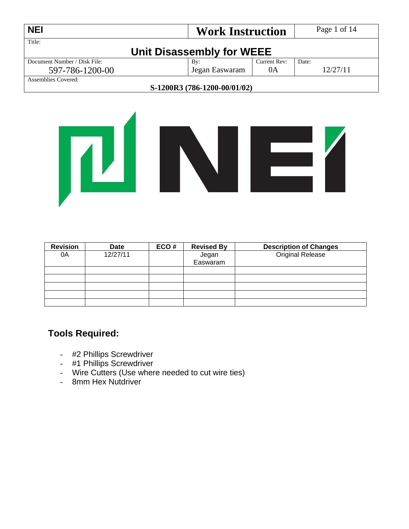| <b>NEI</b>                   | <b>Work Instruction</b>      |              | Page 1 of 14 |
|------------------------------|------------------------------|--------------|--------------|
| Title:                       | Unit Disassembly for WEEE    |              |              |
| Document Number / Disk File: | By:                          | Current Rev: | Date:        |
| 597-786-1200-00              | Jegan Easwaram               | 0A           | 12/27/11     |
| <b>Assemblies Covered:</b>   |                              |              |              |
|                              | S-1200R3 (786-1200-00/01/02) |              |              |



| <b>Revision</b> | <b>Date</b> | ECO# | <b>Revised By</b> | <b>Description of Changes</b> |
|-----------------|-------------|------|-------------------|-------------------------------|
| 0A              | 12/27/11    |      | Jegan<br>Easwaram | <b>Original Release</b>       |
|                 |             |      |                   |                               |
|                 |             |      |                   |                               |
|                 |             |      |                   |                               |
|                 |             |      |                   |                               |
|                 |             |      |                   |                               |

## **Tools Required:**

- #2 Phillips Screwdriver
- #1 Phillips Screwdriver
- Wire Cutters (Use where needed to cut wire ties)
- 8mm Hex Nutdriver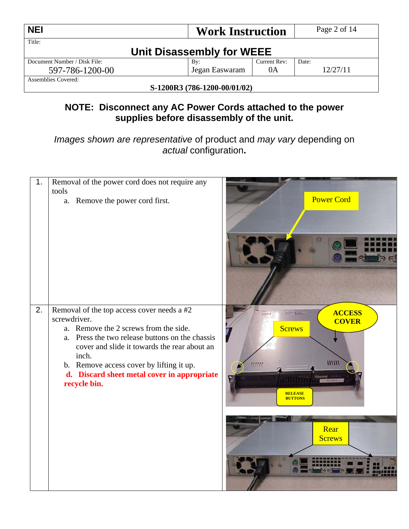| <b>NEI</b>                   | <b>Work Instruction</b>   |              | Page 2 of 14 |  |  |
|------------------------------|---------------------------|--------------|--------------|--|--|
| Title:                       |                           |              |              |  |  |
|                              | Unit Disassembly for WEEE |              |              |  |  |
| Document Number / Disk File: | $\mathbf{B}v$ :           | Current Rev: | Date:        |  |  |
| 597-786-1200-00              | Jegan Easwaram            | 0A           | 12/27/11     |  |  |
| Assemblies Covered:          |                           |              |              |  |  |
| S-1200R3 (786-1200-00/01/02) |                           |              |              |  |  |

## **NOTE: Disconnect any AC Power Cords attached to the power supplies before disassembly of the unit.**

*Images shown are representative* of product and *may vary* depending on *actual* configuration**.** 

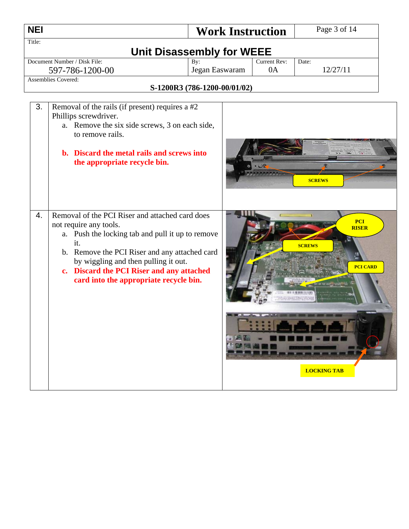| <b>NEI</b> |                                                                                                                                                                                                                                                                                                                      |                              |      | <b>Work Instruction</b>   | Page 3 of 14                                                                                                  |  |
|------------|----------------------------------------------------------------------------------------------------------------------------------------------------------------------------------------------------------------------------------------------------------------------------------------------------------------------|------------------------------|------|---------------------------|---------------------------------------------------------------------------------------------------------------|--|
| Title:     | <b>Unit Disassembly for WEEE</b>                                                                                                                                                                                                                                                                                     |                              |      |                           |                                                                                                               |  |
|            | Document Number / Disk File:<br>597-786-1200-00<br><b>Assemblies Covered:</b>                                                                                                                                                                                                                                        | By:<br>Jegan Easwaram        |      | <b>Current Rev:</b><br>0A | Date:<br>12/27/11                                                                                             |  |
|            |                                                                                                                                                                                                                                                                                                                      | S-1200R3 (786-1200-00/01/02) |      |                           |                                                                                                               |  |
| 3.         | Removal of the rails (if present) requires a $#2$<br>Phillips screwdriver.<br>a. Remove the six side screws, 3 on each side,<br>to remove rails.<br>b. Discard the metal rails and screws into<br>the appropriate recycle bin.                                                                                       |                              |      |                           | $35 - 24$<br><b>SCREWS</b>                                                                                    |  |
| 4.         | Removal of the PCI Riser and attached card does<br>not require any tools.<br>a. Push the locking tab and pull it up to remove<br>it.<br>b. Remove the PCI Riser and any attached card<br>by wiggling and then pulling it out.<br>c. Discard the PCI Riser and any attached<br>card into the appropriate recycle bin. |                              | 四重大的 |                           | <b>PCI</b><br><b>RISER</b><br><b>SCREWS</b><br><b>PCI CARD</b><br><b><i>SADESBR</i></b><br><b>LOCKING TAB</b> |  |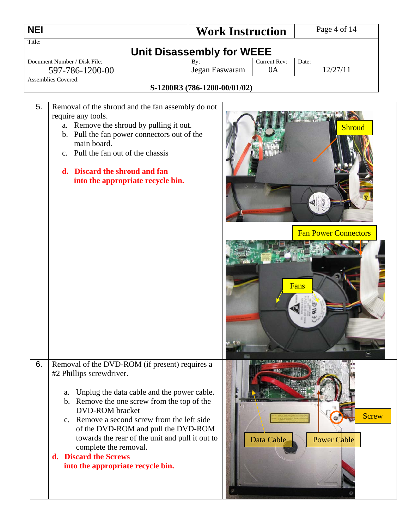| <b>NEI</b> |                                                                                                                                                                                                                                                                                                                                                                                                                                         | <b>Work Instruction</b>      |                    | Page 4 of 14                        |
|------------|-----------------------------------------------------------------------------------------------------------------------------------------------------------------------------------------------------------------------------------------------------------------------------------------------------------------------------------------------------------------------------------------------------------------------------------------|------------------------------|--------------------|-------------------------------------|
| Title:     | <b>Unit Disassembly for WEEE</b>                                                                                                                                                                                                                                                                                                                                                                                                        |                              |                    |                                     |
|            | Document Number / Disk File:<br>597-786-1200-00<br>Assemblies Covered:                                                                                                                                                                                                                                                                                                                                                                  | By:<br>Jegan Easwaram        | Current Rev:<br>0A | Date:<br>12/27/11                   |
|            |                                                                                                                                                                                                                                                                                                                                                                                                                                         | S-1200R3 (786-1200-00/01/02) |                    |                                     |
| 5.         | Removal of the shroud and the fan assembly do not<br>require any tools.<br>a. Remove the shroud by pulling it out.<br>b. Pull the fan power connectors out of the<br>main board.<br>c. Pull the fan out of the chassis<br>d. Discard the shroud and fan<br>into the appropriate recycle bin.                                                                                                                                            |                              |                    | Shroud                              |
|            |                                                                                                                                                                                                                                                                                                                                                                                                                                         |                              |                    | <b>Fan Power Connectors</b><br>Fans |
| 6.         | Removal of the DVD-ROM (if present) requires a<br>#2 Phillips screwdriver.<br>Unplug the data cable and the power cable.<br>a.<br>b. Remove the one screw from the top of the<br><b>DVD-ROM</b> bracket<br>c. Remove a second screw from the left side<br>of the DVD-ROM and pull the DVD-ROM<br>towards the rear of the unit and pull it out to<br>complete the removal.<br>d. Discard the Screws<br>into the appropriate recycle bin. |                              | Data Cable         | Screw<br><b>Power Cable</b>         |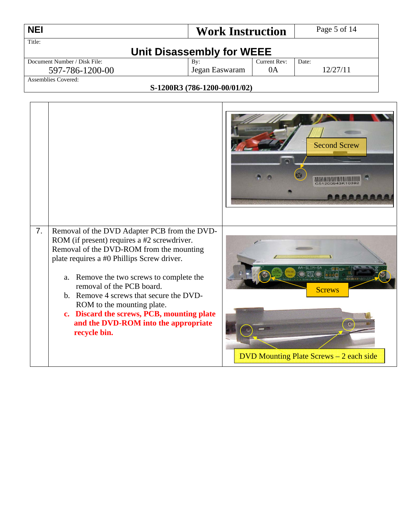| <b>NEI</b>                   | <b>Work Instruction</b>   |              | Page 5 of 14 |
|------------------------------|---------------------------|--------------|--------------|
| Title:                       | Unit Disassembly for WEEE |              |              |
| Document Number / Disk File: | By:                       | Current Rev: | Date:        |
| 597-786-1200-00              | Jegan Easwaram            | 0A           | 12/27/11     |
| Assemblies Covered:          |                           |              |              |

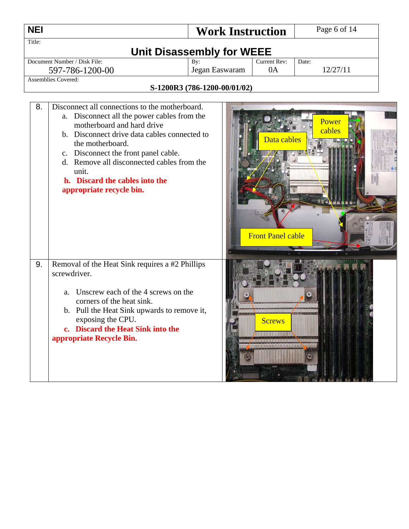| <b>NEI</b> |                                                                                                                                                                                                                                                                                                                                                                 | <b>Work Instruction</b>      |                                         | Page 6 of 14                                                    |  |  |
|------------|-----------------------------------------------------------------------------------------------------------------------------------------------------------------------------------------------------------------------------------------------------------------------------------------------------------------------------------------------------------------|------------------------------|-----------------------------------------|-----------------------------------------------------------------|--|--|
| Title:     | <b>Unit Disassembly for WEEE</b>                                                                                                                                                                                                                                                                                                                                |                              |                                         |                                                                 |  |  |
|            | Document Number / Disk File:<br>597-786-1200-00                                                                                                                                                                                                                                                                                                                 | By:<br>Jegan Easwaram        | Current Rev:<br>0A                      | Date:<br>12/27/11                                               |  |  |
|            | Assemblies Covered:                                                                                                                                                                                                                                                                                                                                             | S-1200R3 (786-1200-00/01/02) |                                         |                                                                 |  |  |
| 8.         | Disconnect all connections to the motherboard.<br>Disconnect all the power cables from the<br>a.<br>motherboard and hard drive<br>b. Disconnect drive data cables connected to<br>the motherboard.<br>c. Disconnect the front panel cable.<br>d. Remove all disconnected cables from the<br>unit.<br>h. Discard the cables into the<br>appropriate recycle bin. |                              | Data cables<br><b>Front Panel cable</b> | Power<br>cables                                                 |  |  |
| 9.         | Removal of the Heat Sink requires a #2 Phillips<br>screwdriver.<br>Unscrew each of the 4 screws on the<br>a.<br>corners of the heat sink.<br>b. Pull the Heat Sink upwards to remove it,<br>exposing the CPU.<br>c. Discard the Heat Sink into the<br>appropriate Recycle Bin.                                                                                  |                              | <b>Screws</b>                           | <b>TITTEREEEEE</b><br><b>ANALY AND RELEASED</b><br><b>THEFT</b> |  |  |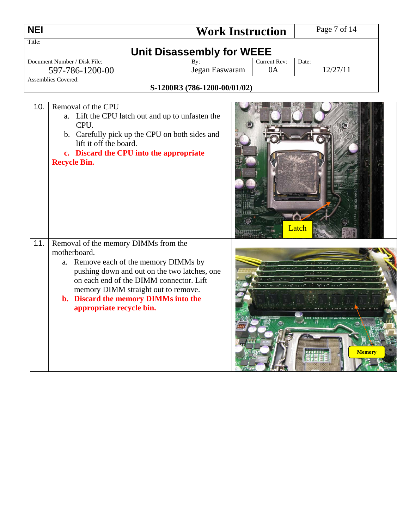| <b>NEI</b> |                                                                                                                                                                                                                                                                                                     | <b>Work Instruction</b> |  | Page 7 of 14                  |  |  |  |
|------------|-----------------------------------------------------------------------------------------------------------------------------------------------------------------------------------------------------------------------------------------------------------------------------------------------------|-------------------------|--|-------------------------------|--|--|--|
| Title:     |                                                                                                                                                                                                                                                                                                     |                         |  |                               |  |  |  |
|            | <b>Unit Disassembly for WEEE</b><br>Document Number / Disk File:<br><b>Current Rev:</b><br>By:<br>Date:<br>0A<br>12/27/11                                                                                                                                                                           |                         |  |                               |  |  |  |
|            | Jegan Easwaram<br>597-786-1200-00<br>Assemblies Covered:<br>S-1200R3 (786-1200-00/01/02)                                                                                                                                                                                                            |                         |  |                               |  |  |  |
| 10.        | Removal of the CPU<br>a. Lift the CPU latch out and up to unfasten the<br>CPU.<br>b. Carefully pick up the CPU on both sides and<br>lift it off the board.<br>c. Discard the CPU into the appropriate<br><b>Recycle Bin.</b>                                                                        |                         |  | Latch                         |  |  |  |
| 11.        | Removal of the memory DIMMs from the<br>motherboard.<br>a. Remove each of the memory DIMMs by<br>pushing down and out on the two latches, one<br>on each end of the DIMM connector. Lift<br>memory DIMM straight out to remove.<br>b. Discard the memory DIMMs into the<br>appropriate recycle bin. |                         |  | <b>Memory</b><br><b>SIBES</b> |  |  |  |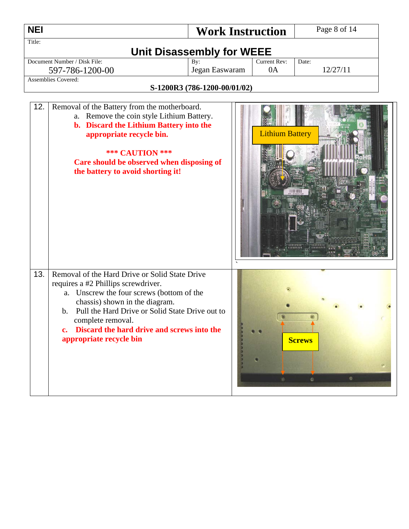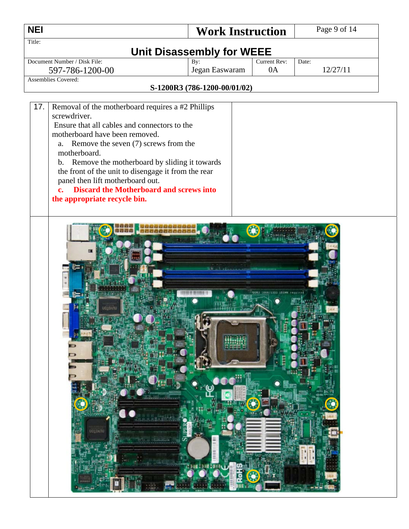| <b>NEI</b>                                                                                                                                                                                                                                                                                                                                                                                                                                                                    | <b>Work Instruction</b>          |                           | Page 9 of 14      |
|-------------------------------------------------------------------------------------------------------------------------------------------------------------------------------------------------------------------------------------------------------------------------------------------------------------------------------------------------------------------------------------------------------------------------------------------------------------------------------|----------------------------------|---------------------------|-------------------|
| Title:                                                                                                                                                                                                                                                                                                                                                                                                                                                                        | <b>Unit Disassembly for WEEE</b> |                           |                   |
| Document Number / Disk File:<br>597-786-1200-00                                                                                                                                                                                                                                                                                                                                                                                                                               | By:<br>Jegan Easwaram            | <b>Current Rev:</b><br>0A | Date:<br>12/27/11 |
| <b>Assemblies Covered:</b>                                                                                                                                                                                                                                                                                                                                                                                                                                                    | S-1200R3 (786-1200-00/01/02)     |                           |                   |
| Removal of the motherboard requires a #2 Phillips<br>17.<br>screwdriver.<br>Ensure that all cables and connectors to the<br>motherboard have been removed.<br>Remove the seven (7) screws from the<br>a.<br>motherboard.<br>Remove the motherboard by sliding it towards<br>b.<br>the front of the unit to disengage it from the rear<br>panel then lift motherboard out.<br><b>Discard the Motherboard and screws into</b><br>$\mathbf{c}$ .<br>the appropriate recycle bin. |                                  |                           |                   |
| m.<br>UOLOANU                                                                                                                                                                                                                                                                                                                                                                                                                                                                 | 윤                                |                           |                   |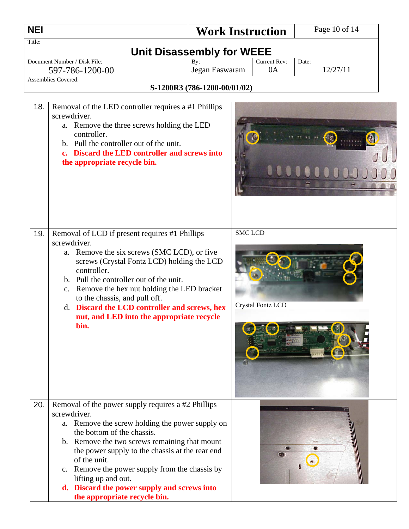| <b>NEI</b> |                                                                                                                                                                                                                                                                                                                                                                                                                                 | <b>Work Instruction</b>                               |                    | Page 10 of 14     |
|------------|---------------------------------------------------------------------------------------------------------------------------------------------------------------------------------------------------------------------------------------------------------------------------------------------------------------------------------------------------------------------------------------------------------------------------------|-------------------------------------------------------|--------------------|-------------------|
| Title:     |                                                                                                                                                                                                                                                                                                                                                                                                                                 | <b>Unit Disassembly for WEEE</b>                      |                    |                   |
|            | Document Number / Disk File:<br>597-786-1200-00<br><b>Assemblies Covered:</b>                                                                                                                                                                                                                                                                                                                                                   | By:<br>Jegan Easwaram<br>S-1200R3 (786-1200-00/01/02) | Current Rev:<br>0A | Date:<br>12/27/11 |
| 18.        | Removal of the LED controller requires a #1 Phillips<br>screwdriver.<br>a. Remove the three screws holding the LED<br>controller.<br>b. Pull the controller out of the unit.<br>Discard the LED controller and screws into<br>$\mathbf{c}$ .<br>the appropriate recycle bin.                                                                                                                                                    |                                                       | LLL                |                   |
| 19.        | Removal of LCD if present requires #1 Phillips<br>screwdriver.<br>a. Remove the six screws (SMC LCD), or five<br>screws (Crystal Fontz LCD) holding the LCD<br>controller.<br>b. Pull the controller out of the unit.<br>Remove the hex nut holding the LED bracket<br>$c_{\cdot}$<br>to the chassis, and pull off.<br>d. Discard the LCD controller and screws, hex<br>nut, and LED into the appropriate recycle<br>bin.       | <b>SMC LCD</b>                                        | Crystal Fontz LCD  |                   |
| 20.        | Removal of the power supply requires a #2 Phillips<br>screwdriver.<br>a. Remove the screw holding the power supply on<br>the bottom of the chassis.<br>b. Remove the two screws remaining that mount<br>the power supply to the chassis at the rear end<br>of the unit.<br>c. Remove the power supply from the chassis by<br>lifting up and out.<br>d. Discard the power supply and screws into<br>the appropriate recycle bin. |                                                       |                    |                   |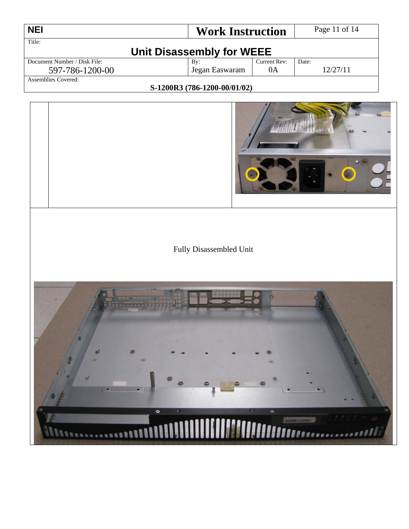| <b>NEI</b>                   | <b>Work Instruction</b>   |              | Page 11 of 14 |  |
|------------------------------|---------------------------|--------------|---------------|--|
| Title:                       |                           |              |               |  |
|                              | Unit Disassembly for WEEE |              |               |  |
| Document Number / Disk File: | By:                       | Current Rev: | Date:         |  |
| 597-786-1200-00              | Jegan Easwaram            | 0A           | 12/27/11      |  |
| Assemblies Covered:          |                           |              |               |  |
| S-1200R3 (786-1200-00/01/02) |                           |              |               |  |

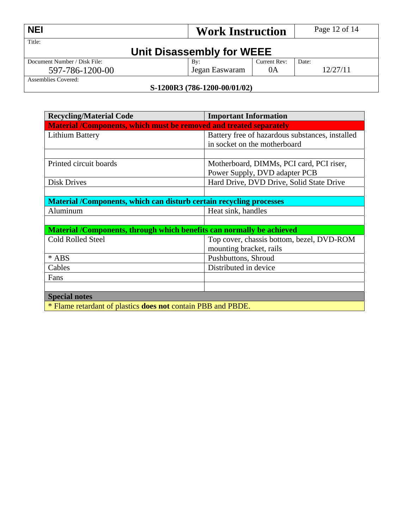| <b>NEI</b>                   | <b>Work Instruction</b>   |              | Page 12 of 14 |
|------------------------------|---------------------------|--------------|---------------|
| Title:                       | Unit Disassembly for WEEE |              |               |
| Document Number / Disk File: | By:                       | Current Rev: | Date:         |
| 597-786-1200-00              | Jegan Easwaram            | 0A           | 12/27/11      |
| Assemblies Covered:          |                           |              |               |

| <b>Recycling/Material Code</b>                                             | <b>Important Information</b>                    |  |  |  |  |
|----------------------------------------------------------------------------|-------------------------------------------------|--|--|--|--|
| Material /Components, which must be removed and treated separately         |                                                 |  |  |  |  |
| Lithium Battery                                                            | Battery free of hazardous substances, installed |  |  |  |  |
|                                                                            | in socket on the motherboard                    |  |  |  |  |
|                                                                            |                                                 |  |  |  |  |
| Printed circuit boards                                                     | Motherboard, DIMMs, PCI card, PCI riser,        |  |  |  |  |
|                                                                            | Power Supply, DVD adapter PCB                   |  |  |  |  |
| <b>Disk Drives</b>                                                         | Hard Drive, DVD Drive, Solid State Drive        |  |  |  |  |
|                                                                            |                                                 |  |  |  |  |
| <b>Material /Components, which can disturb certain recycling processes</b> |                                                 |  |  |  |  |
| Aluminum                                                                   | Heat sink, handles                              |  |  |  |  |
|                                                                            |                                                 |  |  |  |  |
| Material /Components, through which benefits can normally be achieved      |                                                 |  |  |  |  |
| <b>Cold Rolled Steel</b>                                                   | Top cover, chassis bottom, bezel, DVD-ROM       |  |  |  |  |
|                                                                            | mounting bracket, rails                         |  |  |  |  |
| * ABS                                                                      | Pushbuttons, Shroud                             |  |  |  |  |
| Cables                                                                     | Distributed in device                           |  |  |  |  |
| Fans                                                                       |                                                 |  |  |  |  |
|                                                                            |                                                 |  |  |  |  |
| <b>Special notes</b>                                                       |                                                 |  |  |  |  |
| * Flame retardant of plastics does not contain PBB and PBDE.               |                                                 |  |  |  |  |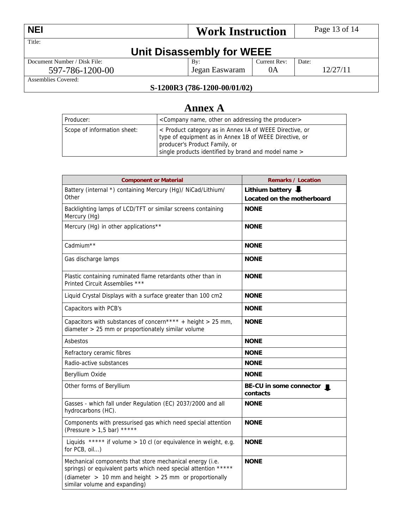| <b>NEI</b>                   | <b>Work Instruction</b> |              | Page 13 of 14 |  |  |
|------------------------------|-------------------------|--------------|---------------|--|--|
| Title:                       |                         |              |               |  |  |
| Unit Disassembly for WEEE    |                         |              |               |  |  |
| Document Number / Disk File: | By:                     | Current Rev: | Date:         |  |  |
| 597-786-1200-00              | Jegan Easwaram          | 0A           | 12/27/11      |  |  |
| Assemblies Covered:          |                         |              |               |  |  |

# **Annex A**

| Producer:                   | <company addressing="" name,="" on="" other="" producer="" the=""></company>                                                                                                                               |
|-----------------------------|------------------------------------------------------------------------------------------------------------------------------------------------------------------------------------------------------------|
| Scope of information sheet: | < Product category as in Annex IA of WEEE Directive, or<br>type of equipment as in Annex 1B of WEEE Directive, or<br>producer's Product Family, or<br>single products identified by brand and model name > |

| <b>Component or Material</b>                                                                                                                                                                                               | <b>Remarks / Location</b>                                      |
|----------------------------------------------------------------------------------------------------------------------------------------------------------------------------------------------------------------------------|----------------------------------------------------------------|
| Battery (internal *) containing Mercury (Hg)/ NiCad/Lithium/<br>Other                                                                                                                                                      | Lithium battery $\big\Downarrow$<br>Located on the motherboard |
| Backlighting lamps of LCD/TFT or similar screens containing<br>Mercury (Hg)                                                                                                                                                | <b>NONE</b>                                                    |
| Mercury (Hg) in other applications**                                                                                                                                                                                       | <b>NONE</b>                                                    |
| Cadmium**                                                                                                                                                                                                                  | <b>NONE</b>                                                    |
| Gas discharge lamps                                                                                                                                                                                                        | <b>NONE</b>                                                    |
| Plastic containing ruminated flame retardants other than in<br>Printed Circuit Assemblies ***                                                                                                                              | <b>NONE</b>                                                    |
| Liquid Crystal Displays with a surface greater than 100 cm2                                                                                                                                                                | <b>NONE</b>                                                    |
| Capacitors with PCB's                                                                                                                                                                                                      | <b>NONE</b>                                                    |
| Capacitors with substances of concern**** + height > 25 mm,<br>diameter > 25 mm or proportionately similar volume                                                                                                          | <b>NONE</b>                                                    |
| Asbestos                                                                                                                                                                                                                   | <b>NONE</b>                                                    |
| Refractory ceramic fibres                                                                                                                                                                                                  | <b>NONE</b>                                                    |
| Radio-active substances                                                                                                                                                                                                    | <b>NONE</b>                                                    |
| Beryllium Oxide                                                                                                                                                                                                            | <b>NONE</b>                                                    |
| Other forms of Beryllium                                                                                                                                                                                                   | BE-CU in some connector<br>contacts                            |
| Gasses - which fall under Regulation (EC) 2037/2000 and all<br>hydrocarbons (HC).                                                                                                                                          | <b>NONE</b>                                                    |
| Components with pressurised gas which need special attention<br>(Pressure > 1,5 bar) *****                                                                                                                                 | <b>NONE</b>                                                    |
| Liquids ***** if volume $> 10$ cl (or equivalence in weight, e.g.<br>for PCB, oil)                                                                                                                                         | <b>NONE</b>                                                    |
| Mechanical components that store mechanical energy (i.e.<br>springs) or equivalent parts which need special attention *****<br>(diameter $> 10$ mm and height $> 25$ mm or proportionally<br>similar volume and expanding) | <b>NONE</b>                                                    |